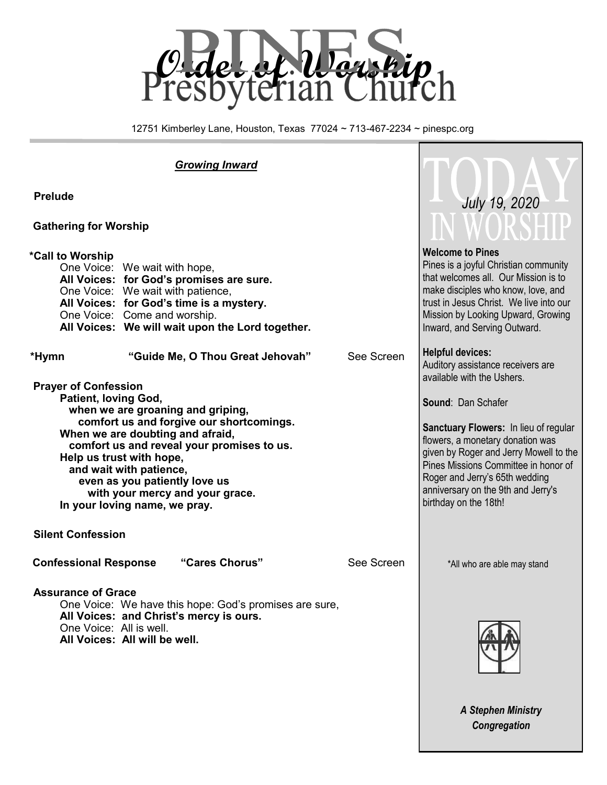

12751 Kimberley Lane, Houston, Texas 77024 ~ 713-467-2234 ~ pinespc.org

*Growing Inward*

#### **Gathering for Worship**

#### **\*Call to Worship**

| One Voice: We wait with hope,                    |
|--------------------------------------------------|
| All Voices: for God's promises are sure.         |
| One Voice: We wait with patience,                |
| All Voices: for God's time is a mystery.         |
| One Voice: Come and worship.                     |
| All Voices: We will wait upon the Lord together. |
|                                                  |

 **\*Hymn "Guide Me, O Thou Great Jehovah"** See Screen

- **Prayer of Confession Patient, loving God, when we are groaning and griping, comfort us and forgive our shortcomings. When we are doubting and afraid, comfort us and reveal your promises to us. Help us trust with hope, and wait with patience, even as you patiently love us with your mercy and your grace. In your loving name, we pray.**
- **Silent Confession**

**Assurance of Grace**

#### **Confessional Response "Cares Chorus"** See Screen

\*All who are able may stand



*A Stephen Ministry Congregation*

## **Welcome to Pines**

 *July 19, 2020*

Pines is a joyful Christian community that welcomes all. Our Mission is to make disciples who know, love, and trust in Jesus Christ. We live into our Mission by Looking Upward, Growing Inward, and Serving Outward.

#### **Helpful devices:**

Auditory assistance receivers are available with the Ushers.

**Sound**: Dan Schafer

**Sanctuary Flowers: In lieu of regular** flowers, a monetary donation was given by Roger and Jerry Mowell to the Pines Missions Committee in honor of Roger and Jerry's 65th wedding anniversary on the 9th and Jerry's birthday on the 18th!

One Voice: We have this hope: God's promises are sure, **All Voices: and Christ's mercy is ours.** One Voice: All is well. **All Voices: All will be well.**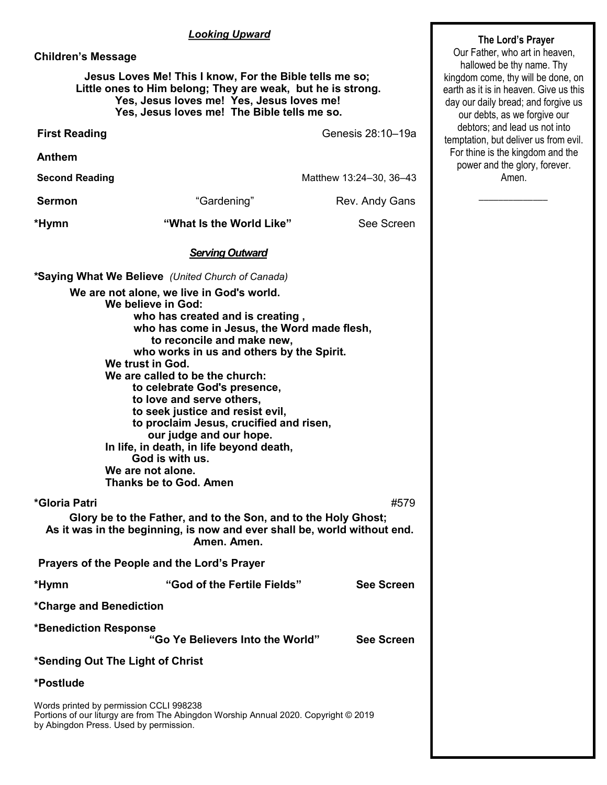#### *Looking Upward*

#### **Children's Message**

#### **Jesus Loves Me! This I know, For the Bible tells me so; Little ones to Him belong; They are weak, but he is strong. Yes, Jesus loves me! Yes, Jesus loves me! Yes, Jesus loves me! The Bible tells me so.**

**First Reading** Genesis 28:10–19a

**Anthem** 

**Second Reading**  Matthew 13:24–30, 36–43

**Sermon Constanting Constanting Constanting Rev. Andy Gans** 

**\*Hymn "What Is the World Like"** See Screen

#### *Serving Outward*

**\*Saying What We Believe** *(United Church of Canada)*  **We are not alone, we live in God's world. We believe in God: who has created and is creating , who has come in Jesus, the Word made flesh, to reconcile and make new, who works in us and others by the Spirit. We trust in God. We are called to be the church: to celebrate God's presence, to love and serve others, to seek justice and resist evil, to proclaim Jesus, crucified and risen, our judge and our hope. In life, in death, in life beyond death, God is with us. We are not alone. Thanks be to God. Amen \*Gloria Patri** #579

**Glory be to the Father, and to the Son, and to the Holy Ghost; As it was in the beginning, is now and ever shall be, world without end. Amen. Amen.** 

**Prayers of the People and the Lord's Prayer**

**\*Hymn "God of the Fertile Fields" See Screen** 

**\*Charge and Benediction**

**\*Benediction Response** 

 **"Go Ye Believers Into the World" See Screen**

#### **\*Sending Out The Light of Christ**

#### **\*Postlude**

Words printed by permission CCLI 998238 Portions of our liturgy are from The Abingdon Worship Annual 2020. Copyright © 2019 by Abingdon Press. Used by permission.

#### **The Lord's Prayer**

Our Father, who art in heaven, hallowed be thy name. Thy kingdom come, thy will be done, on earth as it is in heaven. Give us this day our daily bread; and forgive us our debts, as we forgive our debtors; and lead us not into temptation, but deliver us from evil. For thine is the kingdom and the power and the glory, forever. Amen.

 $\overline{\phantom{a}}$  ,  $\overline{\phantom{a}}$  ,  $\overline{\phantom{a}}$  ,  $\overline{\phantom{a}}$  ,  $\overline{\phantom{a}}$  ,  $\overline{\phantom{a}}$  ,  $\overline{\phantom{a}}$  ,  $\overline{\phantom{a}}$  ,  $\overline{\phantom{a}}$  ,  $\overline{\phantom{a}}$  ,  $\overline{\phantom{a}}$  ,  $\overline{\phantom{a}}$  ,  $\overline{\phantom{a}}$  ,  $\overline{\phantom{a}}$  ,  $\overline{\phantom{a}}$  ,  $\overline{\phantom{a}}$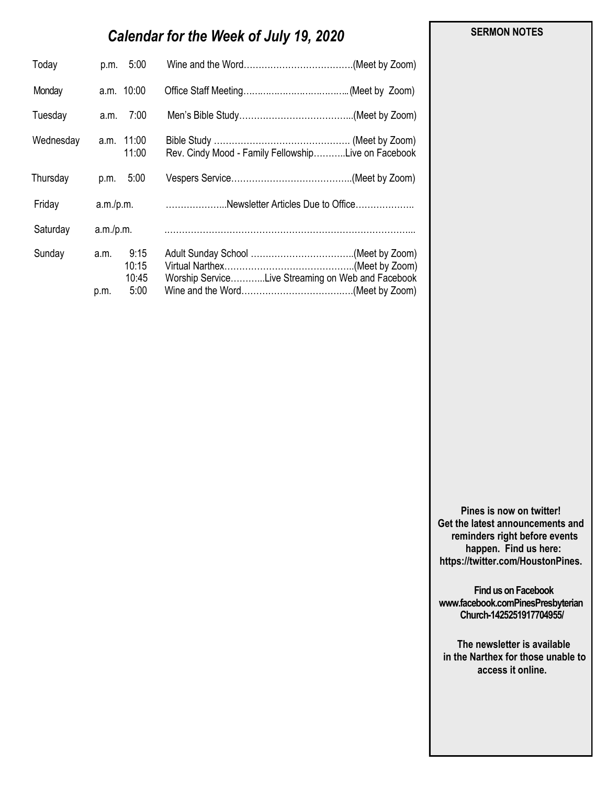### *Calendar for the Week of July 19, 2020*

| Today     | p.m. 5:00                                      |                                                     |
|-----------|------------------------------------------------|-----------------------------------------------------|
| Monday    | a.m. 10:00                                     |                                                     |
| Tuesday   | 7:00<br>a.m.                                   |                                                     |
| Wednesday | a.m. 11:00<br>11:00                            | Rev. Cindy Mood - Family FellowshipLive on Facebook |
| Thursday  | 5:00<br>p.m.                                   |                                                     |
| Friday    |                                                | a.m./p.m. Newsletter Articles Due to Office         |
| Saturday  |                                                |                                                     |
| Sunday    | 9:15<br>a.m.<br>10:15<br>10:45<br>5:00<br>p.m. | Worship ServiceLive Streaming on Web and Facebook   |

 **SERMON NOTES** 

**Pines is now on twitter! Get the latest announcements and reminders right before events happen. Find us here: https://twitter.com/HoustonPines.** 

 **Find us on Facebook www.facebook.comPinesPresbyterian Church-1425251917704955/**

 **The newsletter is available in the Narthex for those unable to access it online.**